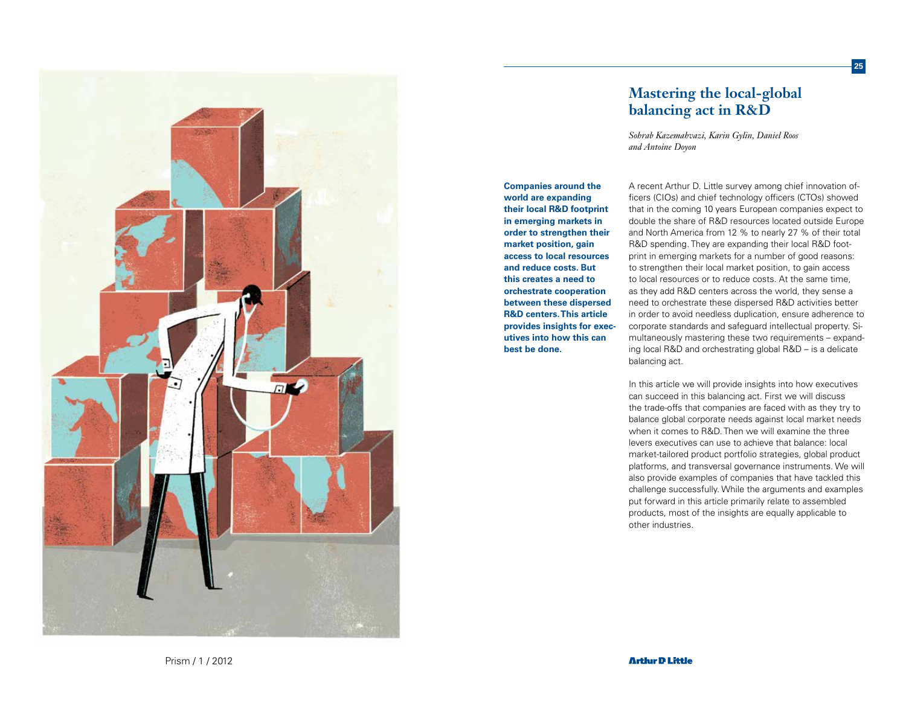

# **Mastering the local-global balancing act in R&D**

**25**

*Sohrab Kazemahvazi, Karin Gylin, Daniel Roos and Antoine Doyon*

**Companies around the world are expanding their local R&D footprint in emerging markets in order to strengthen their market position, gain access to local resources and reduce costs. But this creates a need to orchestrate cooperation between these dispersed R&D centers. This article provides insights for executives into how this can best be done.** 

## A recent Arthur D. Little survey among chief innovation officers (CIOs) and chief technology officers (CTOs) showed that in the coming 10 years European companies expect to double the share of R&D resources located outside Europe and North America from 12 % to nearly 27 % of their total R&D spending. They are expanding their local R&D footprint in emerging markets for a number of good reasons: to strengthen their local market position, to gain access to local resources or to reduce costs. At the same time, as they add R&D centers across the world, they sense a need to orchestrate these dispersed R&D activities better in order to avoid needless duplication, ensure adherence to corporate standards and safeguard intellectual property. Simultaneously mastering these two requirements – expanding local R&D and orchestrating global R&D – is a delicate balancing act.

In this article we will provide insights into how executives can succeed in this balancing act. First we will discuss the trade-offs that companies are faced with as they try to balance global corporate needs against local market needs when it comes to R&D. Then we will examine the three levers executives can use to achieve that balance: local market-tailored product portfolio strategies, global product platforms, and transversal governance instruments. We will also provide examples of companies that have tackled this challenge successfully. While the arguments and examples put forward in this article primarily relate to assembled products, most of the insights are equally applicable to other industries.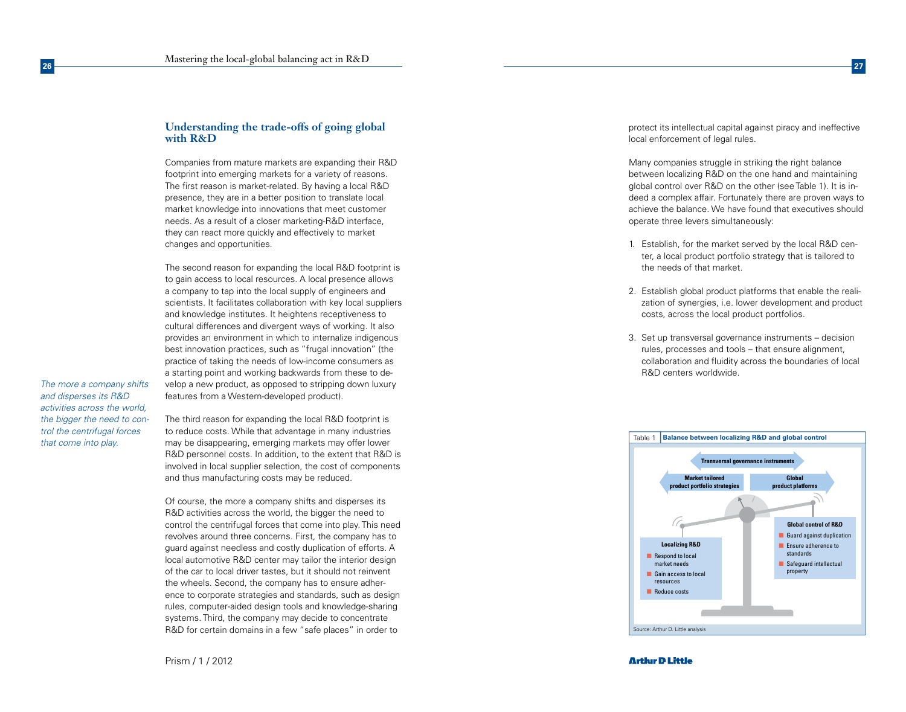## **Understanding the trade-offs of going global with R&D**

Companies from mature markets are expanding their R&D footprint into emerging markets for a variety of reasons. The first reason is market-related. By having a local R&D presence, they are in a better position to translate local market knowledge into innovations that meet customer needs. As a result of a closer marketing-R&D interface, they can react more quickly and effectively to market changes and opportunities.

The second reason for expanding the local R&D footprint is to gain access to local resources. A local presence allows a company to tap into the local supply of engineers and scientists. It facilitates collaboration with key local suppliers and knowledge institutes. It heightens receptiveness to cultural differences and divergent ways of working. It also provides an environment in which to internalize indigenous best innovation practices, such as "frugal innovation" (the practice of taking the needs of low-income consumers as a starting point and working backwards from these to develop a new product, as opposed to stripping down luxury features from a Western-developed product).

*The more a company shifts and disperses its R&D activities across the world, the bigger the need to control the centrifugal forces that come into play.*

The third reason for expanding the local R&D footprint is to reduce costs. While that advantage in many industries may be disappearing, emerging markets may offer lower R&D personnel costs. In addition, to the extent that R&D is involved in local supplier selection, the cost of components and thus manufacturing costs may be reduced.

Of course, the more a company shifts and disperses its R&D activities across the world, the bigger the need to control the centrifugal forces that come into play. This need revolves around three concerns. First, the company has to guard against needless and costly duplication of efforts. A local automotive R&D center may tailor the interior design of the car to local driver tastes, but it should not reinvent the wheels. Second, the company has to ensure adherence to corporate strategies and standards, such as design rules, computer-aided design tools and knowledge-sharing systems. Third, the company may decide to concentrate R&D for certain domains in a few "safe places" in order to

protect its intellectual capital against piracy and ineffective local enforcement of legal rules.

Many companies struggle in striking the right balance between localizing R&D on the one hand and maintaining global control over R&D on the other (see Table 1). It is indeed a complex affair. Fortunately there are proven ways to achieve the balance. We have found that executives should operate three levers simultaneously:

- 1. Establish, for the market served by the local R&D center, a local product portfolio strategy that is tailored to the needs of that market.
- 2. Establish global product platforms that enable the realization of synergies, i.e. lower development and product costs, across the local product portfolios.
- 3. Set up transversal governance instruments decision rules, processes and tools – that ensure alignment, collaboration and fluidity across the boundaries of local R&D centers worldwide.

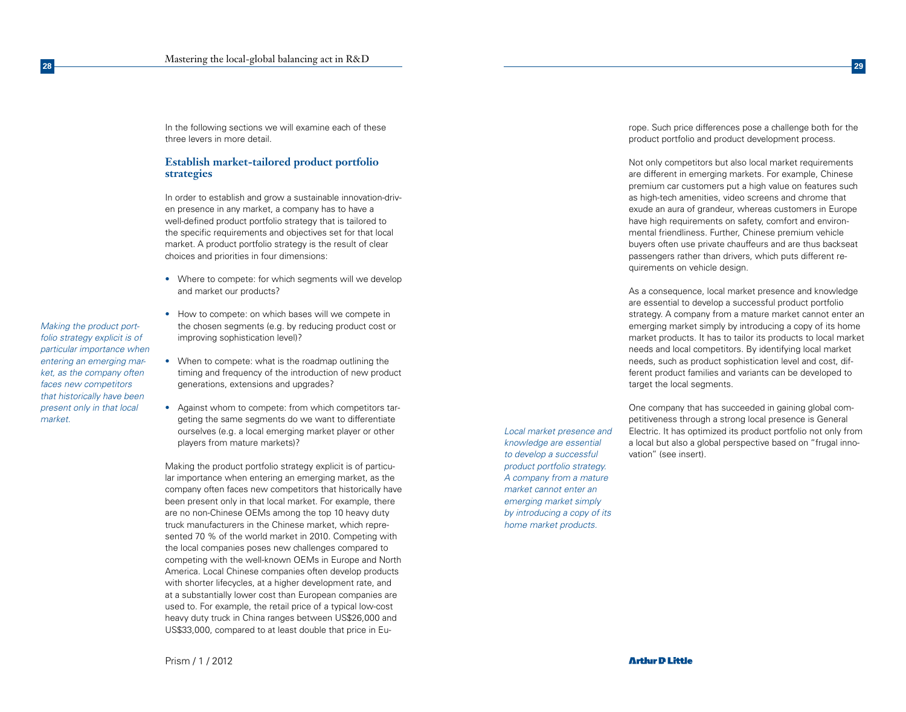In the following sections we will examine each of these three levers in more detail.

## **Establish market-tailored product portfolio strategies**

In order to establish and grow a sustainable innovation-driven presence in any market, a company has to have a well-defined product portfolio strategy that is tailored to the specific requirements and objectives set for that local market. A product portfolio strategy is the result of clear choices and priorities in four dimensions:

- Where to compete: for which segments will we develop and market our products?
- How to compete: on which bases will we compete in the chosen segments (e.g. by reducing product cost or improving sophistication level)?
- When to compete: what is the roadmap outlining the timing and frequency of the introduction of new product generations, extensions and upgrades?
- Against whom to compete: from which competitors targeting the same segments do we want to differentiate ourselves (e.g. a local emerging market player or other players from mature markets)?

Making the product portfolio strategy explicit is of particular importance when entering an emerging market, as the company often faces new competitors that historically have been present only in that local market. For example, there are no non-Chinese OEMs among the top 10 heavy duty truck manufacturers in the Chinese market, which represented 70 % of the world market in 2010. Competing with the local companies poses new challenges compared to competing with the well-known OEMs in Europe and North America. Local Chinese companies often develop products with shorter lifecycles, at a higher development rate, and at a substantially lower cost than European companies are used to. For example, the retail price of a typical low-cost heavy duty truck in China ranges between US\$26,000 and US\$33,000, compared to at least double that price in Eu-

*Local market presence and knowledge are essential to develop a successful product portfolio strategy. A company from a mature market cannot enter an emerging market simply by introducing a copy of its home market products.*

rope. Such price differences pose a challenge both for the product portfolio and product development process.

Not only competitors but also local market requirements are different in emerging markets. For example, Chinese premium car customers put a high value on features such as high-tech amenities, video screens and chrome that exude an aura of grandeur, whereas customers in Europe have high requirements on safety, comfort and environmental friendliness. Further, Chinese premium vehicle buyers often use private chauffeurs and are thus backseat passengers rather than drivers, which puts different requirements on vehicle design.

As a consequence, local market presence and knowledge are essential to develop a successful product portfolio strategy. A company from a mature market cannot enter an emerging market simply by introducing a copy of its home market products. It has to tailor its products to local market needs and local competitors. By identifying local market needs, such as product sophistication level and cost, different product families and variants can be developed to target the local segments.

One company that has succeeded in gaining global competitiveness through a strong local presence is General Electric. It has optimized its product portfolio not only from a local but also a global perspective based on "frugal innovation" (see insert).

*Making the product portfolio strategy explicit is of particular importance when entering an emerging market, as the company often faces new competitors that historically have been present only in that local* 

*market.*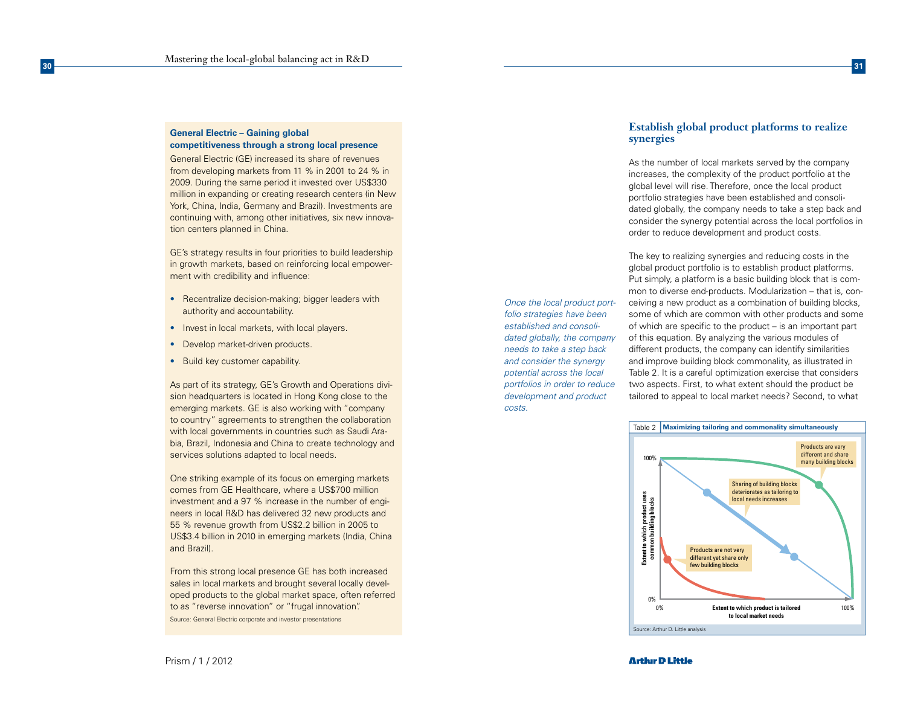#### **General Electric – Gaining global competitiveness through a strong local presence**

General Electric (GE) increased its share of revenues from developing markets from 11 % in 2001 to 24 % in 2009. During the same period it invested over US\$330 million in expanding or creating research centers (in New York, China, India, Germany and Brazil). Investments are continuing with, among other initiatives, six new innova tion centers planned in China.

GE's strategy results in four priorities to build leadership in growth markets, based on reinforcing local empower ment with credibility and influence:

- Recentralize decision-making; bigger leaders with authority and accountability.
- Invest in local markets, with local players.
- Develop market-driven products.
- Build key customer capability.

As part of its strategy, GE's Growth and Operations divi sion headquarters is located in Hong Kong close to the emerging markets. GE is also working with "company to country" agreements to strengthen the collaboration with local governments in countries such as Saudi Ara bia, Brazil, Indonesia and China to create technology and services solutions adapted to local needs.

One striking example of its focus on emerging markets comes from GE Healthcare, where a US\$700 million investment and a 97 % increase in the number of engi neers in local R&D has delivered 32 new products and 55 % revenue growth from US\$2.2 billion in 2005 to US\$3.4 billion in 2010 in emerging markets (India, China and Brazil).

From this strong local presence GE has both increased sales in local markets and brought several locally developed products to the global market space, often referred to as "reverse innovation" or "frugal innovation". Source: General Electric corporate and investor presentations

# **synergies**  As the number of local markets served by the company

**Establish global product platforms to realize** 

increases, the complexity of the product portfolio at the global level will rise. Therefore, once the local product portfolio strategies have been established and consoli dated globally, the company needs to take a step back and consider the synergy potential across the local portfolios in order to reduce development and product costs.

The key to realizing synergies and reducing costs in the global product portfolio is to establish product platforms. Put simply, a platform is a basic building block that is com mon to diverse end-products. Modularization - that is, conceiving a new product as a combination of building blocks, some of which are common with other products and some of which are specific to the product – is an important part of this equation. By analyzing the various modules of different products, the company can identify similarities and improve building block commonality, as illustrated in Table 2. It is a careful optimization exercise that considers two aspects. First, to what extent should the product be tailored to appeal to local market needs? Second, to what



*Once the local product portfolio strategies have been established and consolidated globally, the company needs to take a step back and consider the synergy potential across the local portfolios in order to reduce development and product* 

*costs.*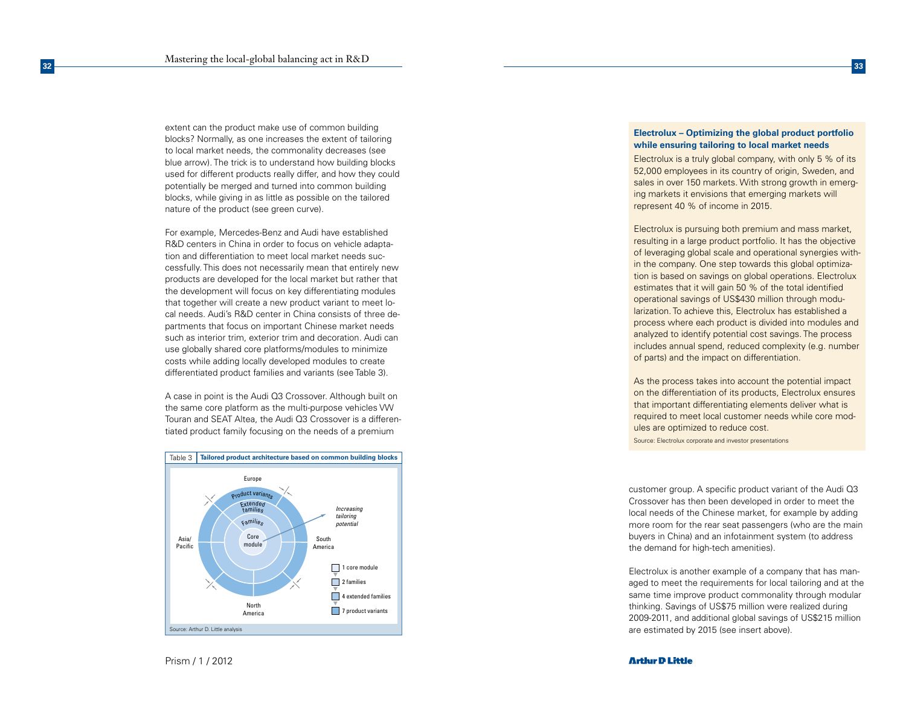extent can the product make use of common building blocks? Normally, as one increases the extent of tailoring to local market needs, the commonality decreases (see blue arrow). The trick is to understand how building blocks used for different products really differ, and how they could potentially be merged and turned into common building blocks, while giving in as little as possible on the tailored nature of the product (see green curve).

For example, Mercedes-Benz and Audi have established R&D centers in China in order to focus on vehicle adapta tion and differentiation to meet local market needs suc cessfully. This does not necessarily mean that entirely new products are developed for the local market but rather that the development will focus on key differentiating modules that together will create a new product variant to meet lo cal needs. Audi's R&D center in China consists of three de partments that focus on important Chinese market needs such as interior trim, exterior trim and decoration. Audi can use globally shared core platforms/modules to minimize costs while adding locally developed modules to create differentiated product families and variants (see Table 3).

A case in point is the Audi Q3 Crossover. Although built on the same core platform as the multi-purpose vehicles VW Touran and SEAT Altea, the Audi Q3 Crossover is a differen tiated product family focusing on the needs of a premium



## **Electrolux – Optimizing the global product portfolio while ensuring tailoring to local market needs**

Electrolux is a truly global company, with only 5 % of its 52,000 employees in its country of origin, Sweden, and sales in over 150 markets. With strong growth in emerging markets it envisions that emerging markets will represent 40 % of income in 2015.

Electrolux is pursuing both premium and mass market, resulting in a large product portfolio. It has the objective of leveraging global scale and operational synergies with in the company. One step towards this global optimiza tion is based on savings on global operations. Electrolux estimates that it will gain 50 % of the total identified operational savings of US\$430 million through modu larization. To achieve this, Electrolux has established a process where each product is divided into modules and analyzed to identify potential cost savings. The process includes annual spend, reduced complexity (e.g. number of parts) and the impact on differentiation.

As the process takes into account the potential impact on the differentiation of its products, Electrolux ensures that important differentiating elements deliver what is required to meet local customer needs while core mod ules are optimized to reduce cost. Source: Electrolux corporate and investor presentations

customer group. A specific product variant of the Audi Q3 Crossover has then been developed in order to meet the local needs of the Chinese market, for example by adding more room for the rear seat passengers (who are the main buyers in China) and an infotainment system (to address the demand for high-tech amenities).

Electrolux is another example of a company that has man aged to meet the requirements for local tailoring and at the same time improve product commonality through modular thinking. Savings of US\$75 million were realized during 2009-2011, and additional global savings of US\$215 million are estimated by 2015 (see insert above).

Prism / 1 / 2012

#### **Arthir D Little**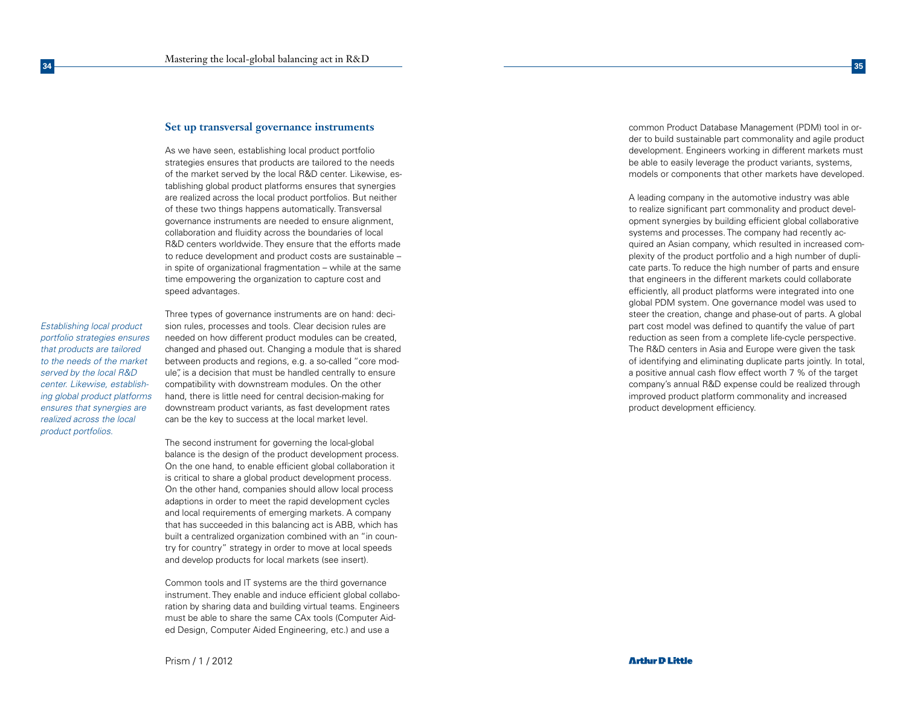#### **Set up transversal governance instruments**

As we have seen, establishing local product portfolio strategies ensures that products are tailored to the needs of the market served by the local R&D center. Likewise, establishing global product platforms ensures that synergies are realized across the local product portfolios. But neither of these two things happens automatically. Transversal governance instruments are needed to ensure alignment, collaboration and fluidity across the boundaries of local R&D centers worldwide. They ensure that the efforts made to reduce development and product costs are sustainable – in spite of organizational fragmentation – while at the same time empowering the organization to capture cost and speed advantages.

*Establishing local product portfolio strategies ensures that products are tailored to the needs of the market served by the local R&D center. Likewise, establishing global product platforms ensures that synergies are realized across the local product portfolios.*

Three types of governance instruments are on hand: decision rules, processes and tools. Clear decision rules are needed on how different product modules can be created, changed and phased out. Changing a module that is shared between products and regions, e.g. a so-called "core module", is a decision that must be handled centrally to ensure compatibility with downstream modules. On the other hand, there is little need for central decision-making for downstream product variants, as fast development rates can be the key to success at the local market level.

The second instrument for governing the local-global balance is the design of the product development process. On the one hand, to enable efficient global collaboration it is critical to share a global product development process. On the other hand, companies should allow local process adaptions in order to meet the rapid development cycles and local requirements of emerging markets. A company that has succeeded in this balancing act is ABB, which has built a centralized organization combined with an "in country for country" strategy in order to move at local speeds and develop products for local markets (see insert).

Common tools and IT systems are the third governance instrument. They enable and induce efficient global collaboration by sharing data and building virtual teams. Engineers must be able to share the same CAx tools (Computer Aided Design, Computer Aided Engineering, etc.) and use a

common Product Database Management (PDM) tool in order to build sustainable part commonality and agile product development. Engineers working in different markets must be able to easily leverage the product variants, systems, models or components that other markets have developed.

A leading company in the automotive industry was able to realize significant part commonality and product development synergies by building efficient global collaborative systems and processes. The company had recently acquired an Asian company, which resulted in increased complexity of the product portfolio and a high number of duplicate parts. To reduce the high number of parts and ensure that engineers in the different markets could collaborate efficiently, all product platforms were integrated into one global PDM system. One governance model was used to steer the creation, change and phase-out of parts. A global part cost model was defined to quantify the value of part reduction as seen from a complete life-cycle perspective. The R&D centers in Asia and Europe were given the task of identifying and eliminating duplicate parts jointly. In total, a positive annual cash flow effect worth 7 % of the target company's annual R&D expense could be realized through improved product platform commonality and increased product development efficiency.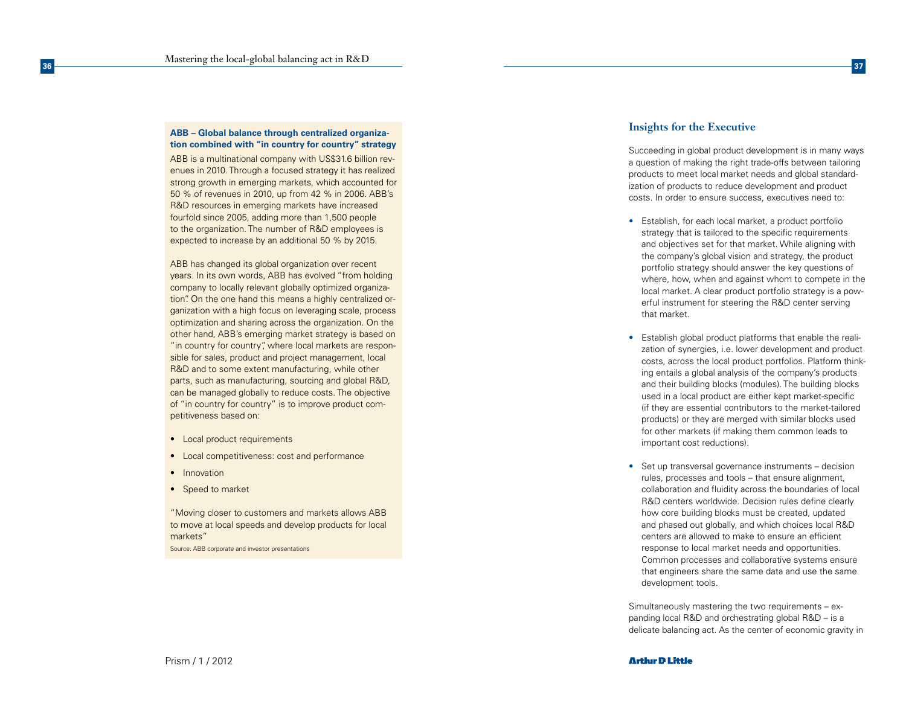#### **ABB – Global balance through centralized organiza tion combined with "in country for country" strategy**

ABB is a multinational company with US\$31.6 billion rev enues in 2010. Through a focused strategy it has realized strong growth in emerging markets, which accounted for 50 % of revenues in 2010, up from 42 % in 2006. ABB's R&D resources in emerging markets have increased fourfold since 2005, adding more than 1,500 people to the organization. The number of R&D employees is expected to increase by an additional 50 % by 2015.

ABB has changed its global organization over recent years. In its own words, ABB has evolved "from holding company to locally relevant globally optimized organiza tion". On the one hand this means a highly centralized or ganization with a high focus on leveraging scale, process optimization and sharing across the organization. On the other hand, ABB's emerging market strategy is based on "in country for country", where local markets are responsible for sales, product and project management, local R&D and to some extent manufacturing, while other parts, such as manufacturing, sourcing and global R&D, can be managed globally to reduce costs. The objective of "in country for country" is to improve product com petitiveness based on:

- Local product requirements
- Local competitiveness: cost and performance
- Innovation
- Speed to market

"Moving closer to customers and markets allows ABB to move at local speeds and develop products for local markets"

Source: ABB corporate and investor presentations

## **Insights for the Executive**

Succeeding in global product development is in many ways a question of making the right trade-offs between tailoring products to meet local market needs and global standard ization of products to reduce development and product costs. In order to ensure success, executives need to:

- Establish, for each local market, a product portfolio strategy that is tailored to the specific requirements and objectives set for that market. While aligning with the company's global vision and strategy, the product portfolio strategy should answer the key questions of where, how, when and against whom to compete in the local market. A clear product portfolio strategy is a pow erful instrument for steering the R&D center serving that market.
- Establish global product platforms that enable the realization of synergies, i.e. lower development and product costs, across the local product portfolios. Platform think ing entails a global analysis of the company's products and their building blocks (modules). The building blocks used in a local product are either kept market-specific (if they are essential contributors to the market-tailored products) or they are merged with similar blocks used for other markets (if making them common leads to important cost reductions).
- Set up transversal governance instruments decision rules, processes and tools – that ensure alignment, collaboration and fluidity across the boundaries of local R&D centers worldwide. Decision rules define clearly how core building blocks must be created, updated and phased out globally, and which choices local R&D centers are allowed to make to ensure an efficient response to local market needs and opportunities. Common processes and collaborative systems ensure that engineers share the same data and use the same development tools.

Simultaneously mastering the two requirements – ex panding local R&D and orchestrating global R&D – is a delicate balancing act. As the center of economic gravity in